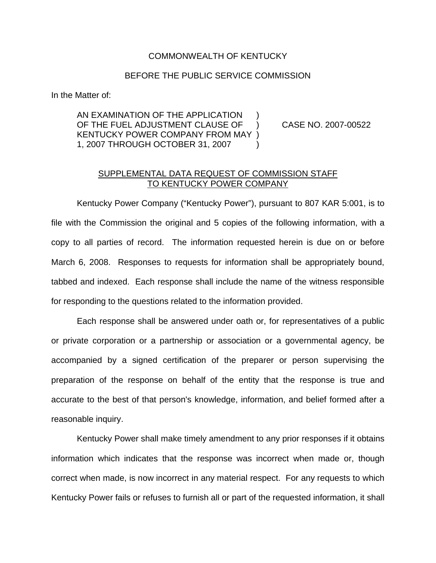## COMMONWEALTH OF KENTUCKY

## BEFORE THE PUBLIC SERVICE COMMISSION

In the Matter of:

AN EXAMINATION OF THE APPLICATION OF THE FUEL ADJUSTMENT CLAUSE OF ) CASE NO. 2007-00522 KENTUCKY POWER COMPANY FROM MAY ) 1, 2007 THROUGH OCTOBER 31, 2007 )

## SUPPLEMENTAL DATA REQUEST OF COMMISSION STAFF TO KENTUCKY POWER COMPANY

Kentucky Power Company ("Kentucky Power"), pursuant to 807 KAR 5:001, is to file with the Commission the original and 5 copies of the following information, with a copy to all parties of record. The information requested herein is due on or before March 6, 2008. Responses to requests for information shall be appropriately bound, tabbed and indexed. Each response shall include the name of the witness responsible for responding to the questions related to the information provided.

Each response shall be answered under oath or, for representatives of a public or private corporation or a partnership or association or a governmental agency, be accompanied by a signed certification of the preparer or person supervising the preparation of the response on behalf of the entity that the response is true and accurate to the best of that person's knowledge, information, and belief formed after a reasonable inquiry.

Kentucky Power shall make timely amendment to any prior responses if it obtains information which indicates that the response was incorrect when made or, though correct when made, is now incorrect in any material respect. For any requests to which Kentucky Power fails or refuses to furnish all or part of the requested information, it shall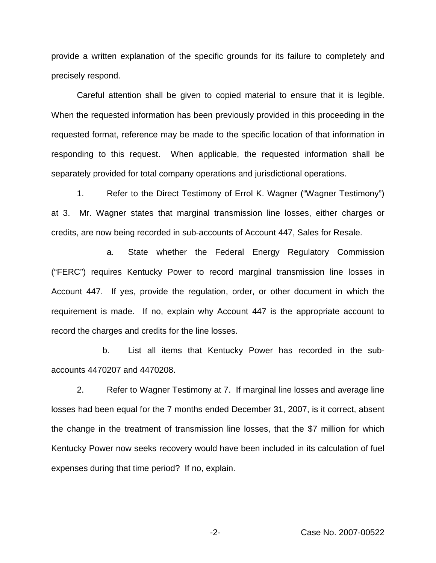provide a written explanation of the specific grounds for its failure to completely and precisely respond.

Careful attention shall be given to copied material to ensure that it is legible. When the requested information has been previously provided in this proceeding in the requested format, reference may be made to the specific location of that information in responding to this request. When applicable, the requested information shall be separately provided for total company operations and jurisdictional operations.

1. Refer to the Direct Testimony of Errol K. Wagner ("Wagner Testimony") at 3. Mr. Wagner states that marginal transmission line losses, either charges or credits, are now being recorded in sub-accounts of Account 447, Sales for Resale.

a. State whether the Federal Energy Regulatory Commission ("FERC") requires Kentucky Power to record marginal transmission line losses in Account 447. If yes, provide the regulation, order, or other document in which the requirement is made. If no, explain why Account 447 is the appropriate account to record the charges and credits for the line losses.

b. List all items that Kentucky Power has recorded in the subaccounts 4470207 and 4470208.

2. Refer to Wagner Testimony at 7. If marginal line losses and average line losses had been equal for the 7 months ended December 31, 2007, is it correct, absent the change in the treatment of transmission line losses, that the \$7 million for which Kentucky Power now seeks recovery would have been included in its calculation of fuel expenses during that time period? If no, explain.

-2- Case No. 2007-00522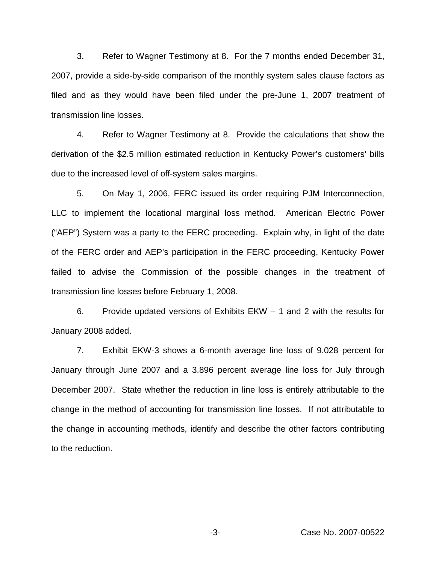3. Refer to Wagner Testimony at 8. For the 7 months ended December 31, 2007, provide a side-by-side comparison of the monthly system sales clause factors as filed and as they would have been filed under the pre-June 1, 2007 treatment of transmission line losses.

4. Refer to Wagner Testimony at 8. Provide the calculations that show the derivation of the \$2.5 million estimated reduction in Kentucky Power's customers' bills due to the increased level of off-system sales margins.

5. On May 1, 2006, FERC issued its order requiring PJM Interconnection, LLC to implement the locational marginal loss method. American Electric Power ("AEP") System was a party to the FERC proceeding. Explain why, in light of the date of the FERC order and AEP's participation in the FERC proceeding, Kentucky Power failed to advise the Commission of the possible changes in the treatment of transmission line losses before February 1, 2008.

6. Provide updated versions of Exhibits EKW – 1 and 2 with the results for January 2008 added.

7. Exhibit EKW-3 shows a 6-month average line loss of 9.028 percent for January through June 2007 and a 3.896 percent average line loss for July through December 2007. State whether the reduction in line loss is entirely attributable to the change in the method of accounting for transmission line losses. If not attributable to the change in accounting methods, identify and describe the other factors contributing to the reduction.

-3- Case No. 2007-00522